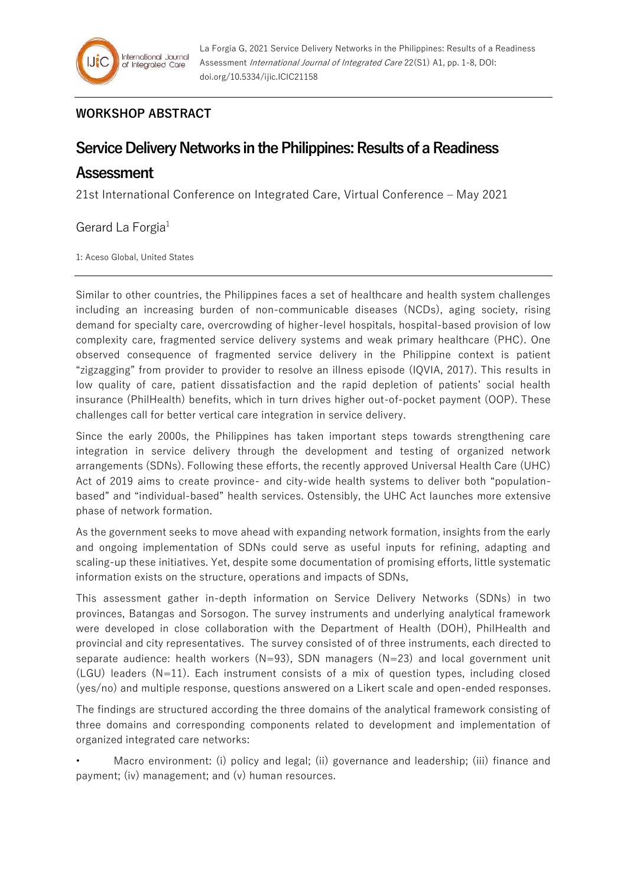## **WORKSHOP ABSTRACT**

## **Service Delivery Networks in the Philippines: Results of a Readiness**

## **Assessment**

21st International Conference on Integrated Care, Virtual Conference – May 2021

Gerard La Forgia<sup>1</sup>

1: Aceso Global, United States

Similar to other countries, the Philippines faces a set of healthcare and health system challenges including an increasing burden of non-communicable diseases (NCDs), aging society, rising demand for specialty care, overcrowding of higher-level hospitals, hospital-based provision of low complexity care, fragmented service delivery systems and weak primary healthcare (PHC). One observed consequence of fragmented service delivery in the Philippine context is patient "zigzagging" from provider to provider to resolve an illness episode (IQVIA, 2017). This results in low quality of care, patient dissatisfaction and the rapid depletion of patients' social health insurance (PhilHealth) benefits, which in turn drives higher out-of-pocket payment (OOP). These challenges call for better vertical care integration in service delivery.

Since the early 2000s, the Philippines has taken important steps towards strengthening care integration in service delivery through the development and testing of organized network arrangements (SDNs). Following these efforts, the recently approved Universal Health Care (UHC) Act of 2019 aims to create province- and city-wide health systems to deliver both "populationbased" and "individual-based" health services. Ostensibly, the UHC Act launches more extensive phase of network formation.

As the government seeks to move ahead with expanding network formation, insights from the early and ongoing implementation of SDNs could serve as useful inputs for refining, adapting and scaling-up these initiatives. Yet, despite some documentation of promising efforts, little systematic information exists on the structure, operations and impacts of SDNs,

This assessment gather in-depth information on Service Delivery Networks (SDNs) in two provinces, Batangas and Sorsogon. The survey instruments and underlying analytical framework were developed in close collaboration with the Department of Health (DOH), PhilHealth and provincial and city representatives. The survey consisted of of three instruments, each directed to separate audience: health workers  $(N=93)$ , SDN managers  $(N=23)$  and local government unit (LGU) leaders (N=11). Each instrument consists of a mix of question types, including closed (yes/no) and multiple response, questions answered on a Likert scale and open-ended responses.

The findings are structured according the three domains of the analytical framework consisting of three domains and corresponding components related to development and implementation of organized integrated care networks:

• Macro environment: (i) policy and legal; (ii) governance and leadership; (iii) finance and payment; (iv) management; and (v) human resources.